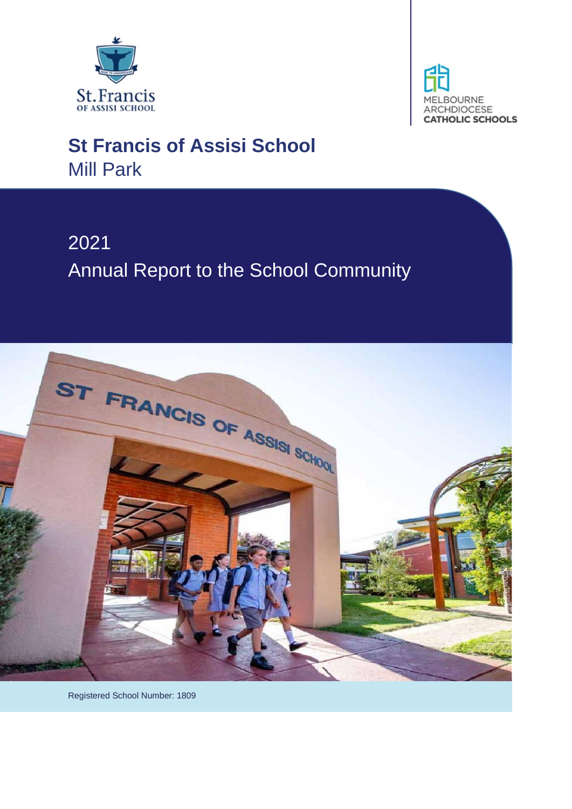



# **St Francis of Assisi School** Mill Park

# 2021 Annual Report to the School Community



Registered School Number: 1809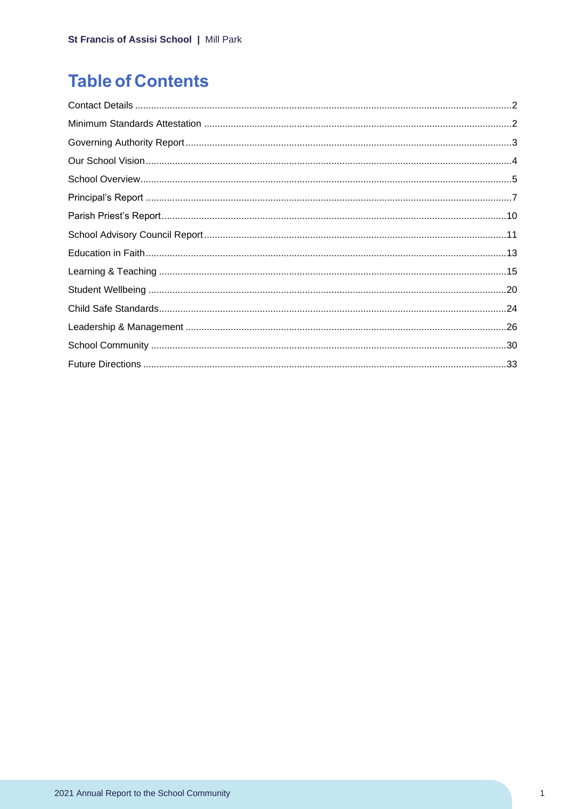# **Table of Contents**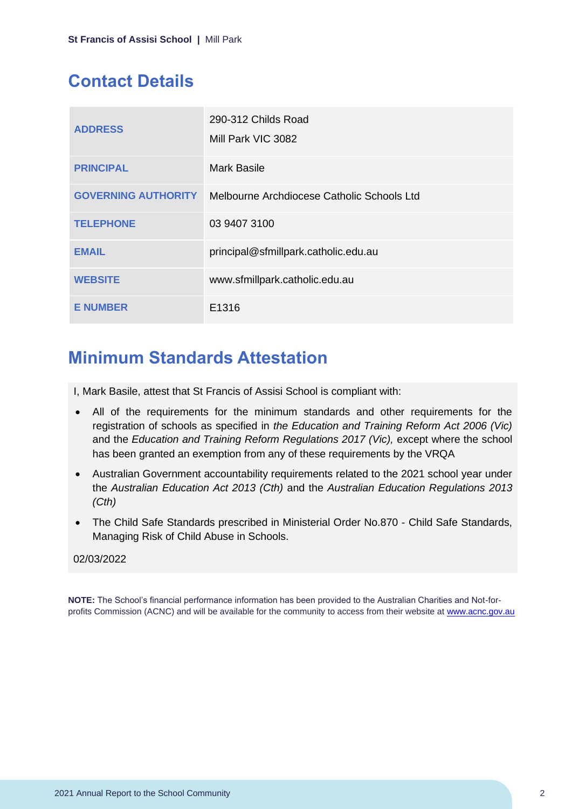### <span id="page-2-0"></span>**Contact Details**

| <b>ADDRESS</b>             | 290-312 Childs Road<br>Mill Park VIC 3082  |
|----------------------------|--------------------------------------------|
| <b>PRINCIPAL</b>           | <b>Mark Basile</b>                         |
| <b>GOVERNING AUTHORITY</b> | Melbourne Archdiocese Catholic Schools Ltd |
| <b>TELEPHONE</b>           | 03 9407 3100                               |
| <b>EMAIL</b>               | principal@sfmillpark.catholic.edu.au       |
| <b>WEBSITE</b>             | www.sfmillpark.catholic.edu.au             |
| <b>E NUMBER</b>            | E1316                                      |

### <span id="page-2-1"></span>**Minimum Standards Attestation**

I, Mark Basile, attest that St Francis of Assisi School is compliant with:

- All of the requirements for the minimum standards and other requirements for the registration of schools as specified in *the Education and Training Reform Act 2006 (Vic)* and the *Education and Training Reform Regulations 2017 (Vic),* except where the school has been granted an exemption from any of these requirements by the VRQA
- Australian Government accountability requirements related to the 2021 school year under the *Australian Education Act 2013 (Cth)* and the *Australian Education Regulations 2013 (Cth)*
- The Child Safe Standards prescribed in Ministerial Order No.870 Child Safe Standards, Managing Risk of Child Abuse in Schools.

#### 02/03/2022

**NOTE:** The School's financial performance information has been provided to the Australian Charities and Not-forprofits Commission (ACNC) and will be available for the community to access from their website at [www.acnc.gov.au](http://www.acnc.gov.au/)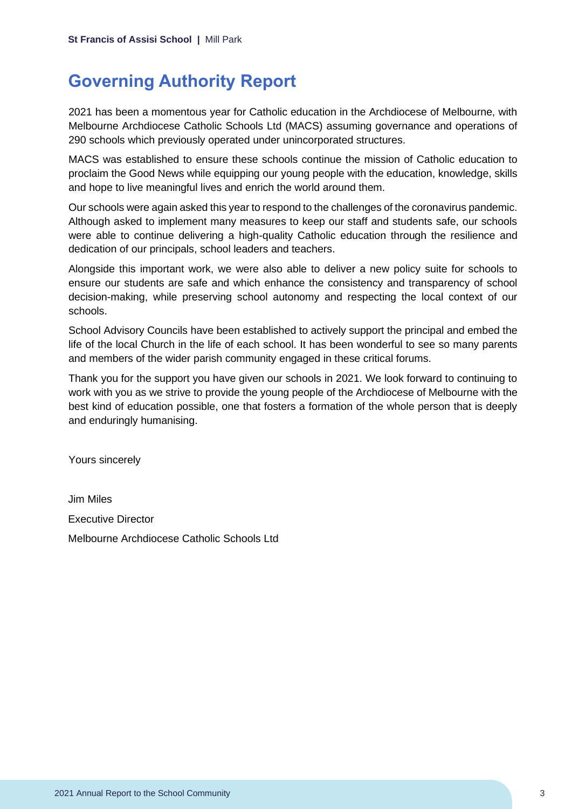### <span id="page-3-0"></span>**Governing Authority Report**

2021 has been a momentous year for Catholic education in the Archdiocese of Melbourne, with Melbourne Archdiocese Catholic Schools Ltd (MACS) assuming governance and operations of 290 schools which previously operated under unincorporated structures.

MACS was established to ensure these schools continue the mission of Catholic education to proclaim the Good News while equipping our young people with the education, knowledge, skills and hope to live meaningful lives and enrich the world around them.

Our schools were again asked this year to respond to the challenges of the coronavirus pandemic. Although asked to implement many measures to keep our staff and students safe, our schools were able to continue delivering a high-quality Catholic education through the resilience and dedication of our principals, school leaders and teachers.

Alongside this important work, we were also able to deliver a new policy suite for schools to ensure our students are safe and which enhance the consistency and transparency of school decision-making, while preserving school autonomy and respecting the local context of our schools.

School Advisory Councils have been established to actively support the principal and embed the life of the local Church in the life of each school. It has been wonderful to see so many parents and members of the wider parish community engaged in these critical forums.

Thank you for the support you have given our schools in 2021. We look forward to continuing to work with you as we strive to provide the young people of the Archdiocese of Melbourne with the best kind of education possible, one that fosters a formation of the whole person that is deeply and enduringly humanising.

Yours sincerely

Jim Miles Executive Director Melbourne Archdiocese Catholic Schools Ltd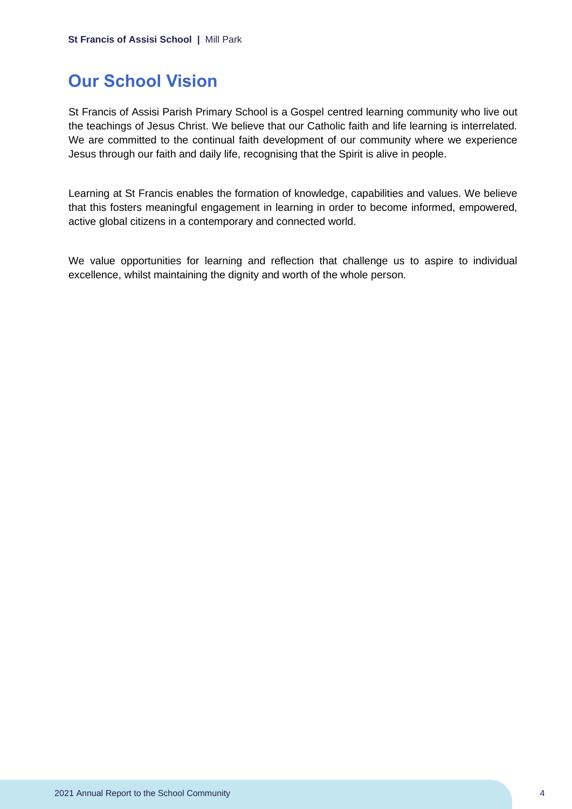### <span id="page-4-0"></span>**Our School Vision**

St Francis of Assisi Parish Primary School is a Gospel centred learning community who live out the teachings of Jesus Christ. We believe that our Catholic faith and life learning is interrelated. We are committed to the continual faith development of our community where we experience Jesus through our faith and daily life, recognising that the Spirit is alive in people.

Learning at St Francis enables the formation of knowledge, capabilities and values. We believe that this fosters meaningful engagement in learning in order to become informed, empowered, active global citizens in a contemporary and connected world.

We value opportunities for learning and reflection that challenge us to aspire to individual excellence, whilst maintaining the dignity and worth of the whole person.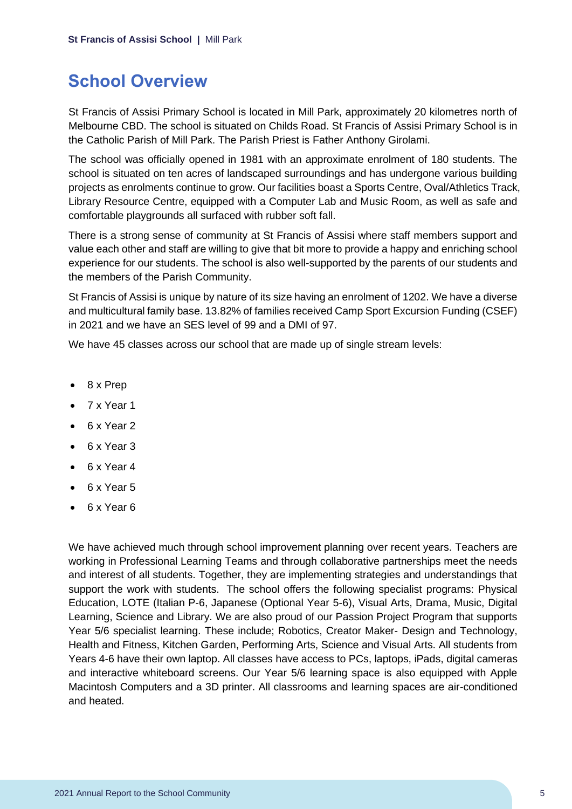### <span id="page-5-0"></span>**School Overview**

St Francis of Assisi Primary School is located in Mill Park, approximately 20 kilometres north of Melbourne CBD. The school is situated on Childs Road. St Francis of Assisi Primary School is in the Catholic Parish of Mill Park. The Parish Priest is Father Anthony Girolami.

The school was officially opened in 1981 with an approximate enrolment of 180 students. The school is situated on ten acres of landscaped surroundings and has undergone various building projects as enrolments continue to grow. Our facilities boast a Sports Centre, Oval/Athletics Track, Library Resource Centre, equipped with a Computer Lab and Music Room, as well as safe and comfortable playgrounds all surfaced with rubber soft fall.

There is a strong sense of community at St Francis of Assisi where staff members support and value each other and staff are willing to give that bit more to provide a happy and enriching school experience for our students. The school is also well-supported by the parents of our students and the members of the Parish Community.

St Francis of Assisi is unique by nature of its size having an enrolment of 1202. We have a diverse and multicultural family base. 13.82% of families received Camp Sport Excursion Funding (CSEF) in 2021 and we have an SES level of 99 and a DMI of 97.

We have 45 classes across our school that are made up of single stream levels:

- 8 x Prep
- 7 x Year 1
- 6 x Year 2
- 6 x Year 3
- 6 x Year 4
- 6 x Year 5
- 6 x Year 6

We have achieved much through school improvement planning over recent years. Teachers are working in Professional Learning Teams and through collaborative partnerships meet the needs and interest of all students. Together, they are implementing strategies and understandings that support the work with students. The school offers the following specialist programs: Physical Education, LOTE (Italian P-6, Japanese (Optional Year 5-6), Visual Arts, Drama, Music, Digital Learning, Science and Library. We are also proud of our Passion Project Program that supports Year 5/6 specialist learning. These include; Robotics, Creator Maker- Design and Technology, Health and Fitness, Kitchen Garden, Performing Arts, Science and Visual Arts. All students from Years 4-6 have their own laptop. All classes have access to PCs, laptops, iPads, digital cameras and interactive whiteboard screens. Our Year 5/6 learning space is also equipped with Apple Macintosh Computers and a 3D printer. All classrooms and learning spaces are air-conditioned and heated.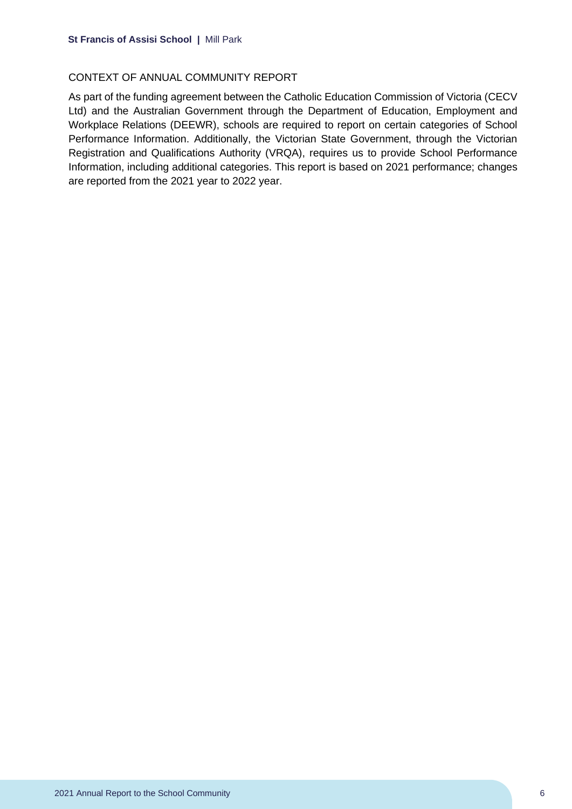#### CONTEXT OF ANNUAL COMMUNITY REPORT

As part of the funding agreement between the Catholic Education Commission of Victoria (CECV Ltd) and the Australian Government through the Department of Education, Employment and Workplace Relations (DEEWR), schools are required to report on certain categories of School Performance Information. Additionally, the Victorian State Government, through the Victorian Registration and Qualifications Authority (VRQA), requires us to provide School Performance Information, including additional categories. This report is based on 2021 performance; changes are reported from the 2021 year to 2022 year.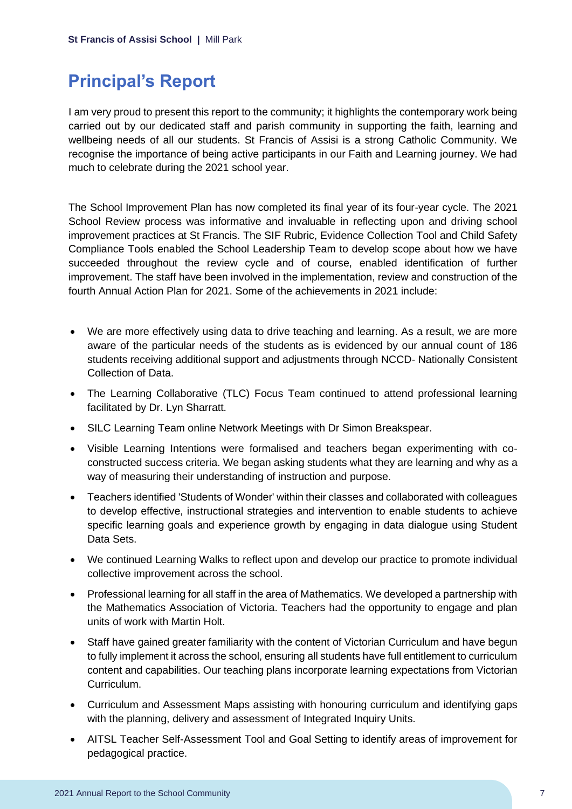# <span id="page-7-0"></span>**Principal's Report**

I am very proud to present this report to the community; it highlights the contemporary work being carried out by our dedicated staff and parish community in supporting the faith, learning and wellbeing needs of all our students. St Francis of Assisi is a strong Catholic Community. We recognise the importance of being active participants in our Faith and Learning journey. We had much to celebrate during the 2021 school year.

The School Improvement Plan has now completed its final year of its four-year cycle. The 2021 School Review process was informative and invaluable in reflecting upon and driving school improvement practices at St Francis. The SIF Rubric, Evidence Collection Tool and Child Safety Compliance Tools enabled the School Leadership Team to develop scope about how we have succeeded throughout the review cycle and of course, enabled identification of further improvement. The staff have been involved in the implementation, review and construction of the fourth Annual Action Plan for 2021. Some of the achievements in 2021 include:

- We are more effectively using data to drive teaching and learning. As a result, we are more aware of the particular needs of the students as is evidenced by our annual count of 186 students receiving additional support and adjustments through NCCD- Nationally Consistent Collection of Data.
- The Learning Collaborative (TLC) Focus Team continued to attend professional learning facilitated by Dr. Lyn Sharratt.
- SILC Learning Team online Network Meetings with Dr Simon Breakspear.
- Visible Learning Intentions were formalised and teachers began experimenting with coconstructed success criteria. We began asking students what they are learning and why as a way of measuring their understanding of instruction and purpose.
- Teachers identified 'Students of Wonder' within their classes and collaborated with colleagues to develop effective, instructional strategies and intervention to enable students to achieve specific learning goals and experience growth by engaging in data dialogue using Student Data Sets.
- We continued Learning Walks to reflect upon and develop our practice to promote individual collective improvement across the school.
- Professional learning for all staff in the area of Mathematics. We developed a partnership with the Mathematics Association of Victoria. Teachers had the opportunity to engage and plan units of work with Martin Holt.
- Staff have gained greater familiarity with the content of Victorian Curriculum and have begun to fully implement it across the school, ensuring all students have full entitlement to curriculum content and capabilities. Our teaching plans incorporate learning expectations from Victorian Curriculum.
- Curriculum and Assessment Maps assisting with honouring curriculum and identifying gaps with the planning, delivery and assessment of Integrated Inquiry Units.
- AITSL Teacher Self-Assessment Tool and Goal Setting to identify areas of improvement for pedagogical practice.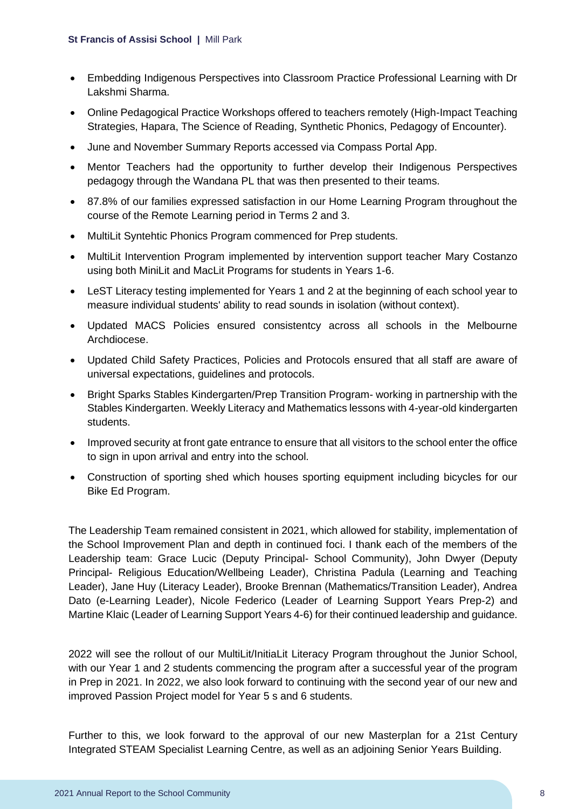- Embedding Indigenous Perspectives into Classroom Practice Professional Learning with Dr Lakshmi Sharma.
- Online Pedagogical Practice Workshops offered to teachers remotely (High-Impact Teaching Strategies, Hapara, The Science of Reading, Synthetic Phonics, Pedagogy of Encounter).
- June and November Summary Reports accessed via Compass Portal App.
- Mentor Teachers had the opportunity to further develop their Indigenous Perspectives pedagogy through the Wandana PL that was then presented to their teams.
- 87.8% of our families expressed satisfaction in our Home Learning Program throughout the course of the Remote Learning period in Terms 2 and 3.
- MultiLit Syntehtic Phonics Program commenced for Prep students.
- MultiLit Intervention Program implemented by intervention support teacher Mary Costanzo using both MiniLit and MacLit Programs for students in Years 1-6.
- LeST Literacy testing implemented for Years 1 and 2 at the beginning of each school year to measure individual students' ability to read sounds in isolation (without context).
- Updated MACS Policies ensured consistentcy across all schools in the Melbourne Archdiocese.
- Updated Child Safety Practices, Policies and Protocols ensured that all staff are aware of universal expectations, guidelines and protocols.
- Bright Sparks Stables Kindergarten/Prep Transition Program- working in partnership with the Stables Kindergarten. Weekly Literacy and Mathematics lessons with 4-year-old kindergarten students.
- Improved security at front gate entrance to ensure that all visitors to the school enter the office to sign in upon arrival and entry into the school.
- Construction of sporting shed which houses sporting equipment including bicycles for our Bike Ed Program.

The Leadership Team remained consistent in 2021, which allowed for stability, implementation of the School Improvement Plan and depth in continued foci. I thank each of the members of the Leadership team: Grace Lucic (Deputy Principal- School Community), John Dwyer (Deputy Principal- Religious Education/Wellbeing Leader), Christina Padula (Learning and Teaching Leader), Jane Huy (Literacy Leader), Brooke Brennan (Mathematics/Transition Leader), Andrea Dato (e-Learning Leader), Nicole Federico (Leader of Learning Support Years Prep-2) and Martine Klaic (Leader of Learning Support Years 4-6) for their continued leadership and guidance.

2022 will see the rollout of our MultiLit/InitiaLit Literacy Program throughout the Junior School, with our Year 1 and 2 students commencing the program after a successful year of the program in Prep in 2021. In 2022, we also look forward to continuing with the second year of our new and improved Passion Project model for Year 5 s and 6 students.

Further to this, we look forward to the approval of our new Masterplan for a 21st Century Integrated STEAM Specialist Learning Centre, as well as an adjoining Senior Years Building.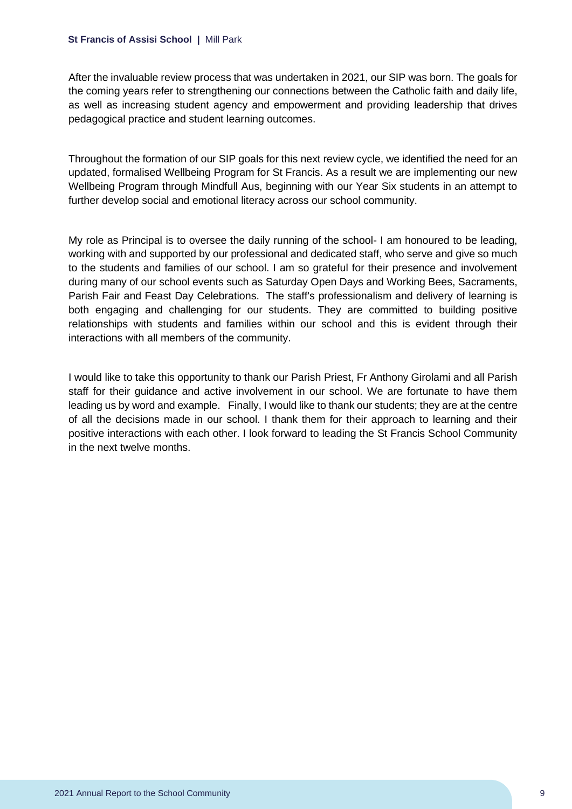#### **St Francis of Assisi School |** Mill Park

After the invaluable review process that was undertaken in 2021, our SIP was born. The goals for the coming years refer to strengthening our connections between the Catholic faith and daily life, as well as increasing student agency and empowerment and providing leadership that drives pedagogical practice and student learning outcomes.

Throughout the formation of our SIP goals for this next review cycle, we identified the need for an updated, formalised Wellbeing Program for St Francis. As a result we are implementing our new Wellbeing Program through Mindfull Aus, beginning with our Year Six students in an attempt to further develop social and emotional literacy across our school community.

My role as Principal is to oversee the daily running of the school- I am honoured to be leading, working with and supported by our professional and dedicated staff, who serve and give so much to the students and families of our school. I am so grateful for their presence and involvement during many of our school events such as Saturday Open Days and Working Bees, Sacraments, Parish Fair and Feast Day Celebrations. The staff's professionalism and delivery of learning is both engaging and challenging for our students. They are committed to building positive relationships with students and families within our school and this is evident through their interactions with all members of the community.

I would like to take this opportunity to thank our Parish Priest, Fr Anthony Girolami and all Parish staff for their guidance and active involvement in our school. We are fortunate to have them leading us by word and example. Finally, I would like to thank our students; they are at the centre of all the decisions made in our school. I thank them for their approach to learning and their positive interactions with each other. I look forward to leading the St Francis School Community in the next twelve months.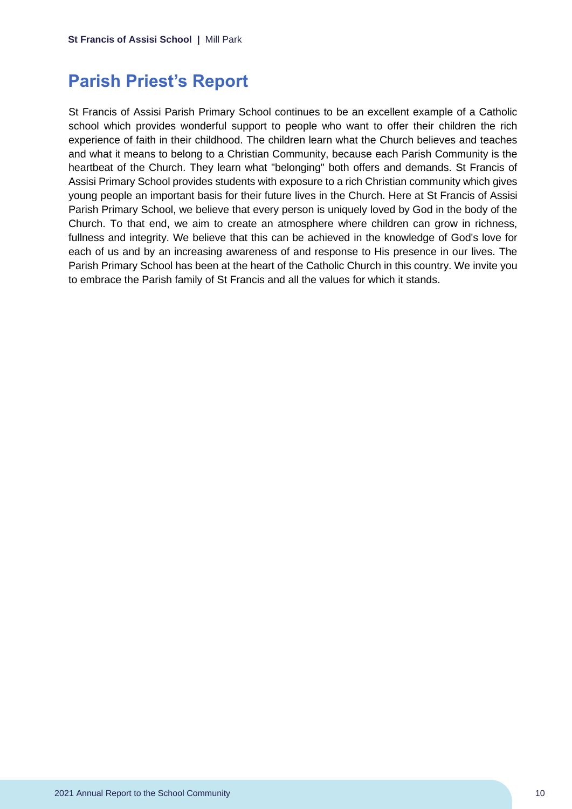### <span id="page-10-0"></span>**Parish Priest's Report**

St Francis of Assisi Parish Primary School continues to be an excellent example of a Catholic school which provides wonderful support to people who want to offer their children the rich experience of faith in their childhood. The children learn what the Church believes and teaches and what it means to belong to a Christian Community, because each Parish Community is the heartbeat of the Church. They learn what "belonging" both offers and demands. St Francis of Assisi Primary School provides students with exposure to a rich Christian community which gives young people an important basis for their future lives in the Church. Here at St Francis of Assisi Parish Primary School, we believe that every person is uniquely loved by God in the body of the Church. To that end, we aim to create an atmosphere where children can grow in richness, fullness and integrity. We believe that this can be achieved in the knowledge of God's love for each of us and by an increasing awareness of and response to His presence in our lives. The Parish Primary School has been at the heart of the Catholic Church in this country. We invite you to embrace the Parish family of St Francis and all the values for which it stands.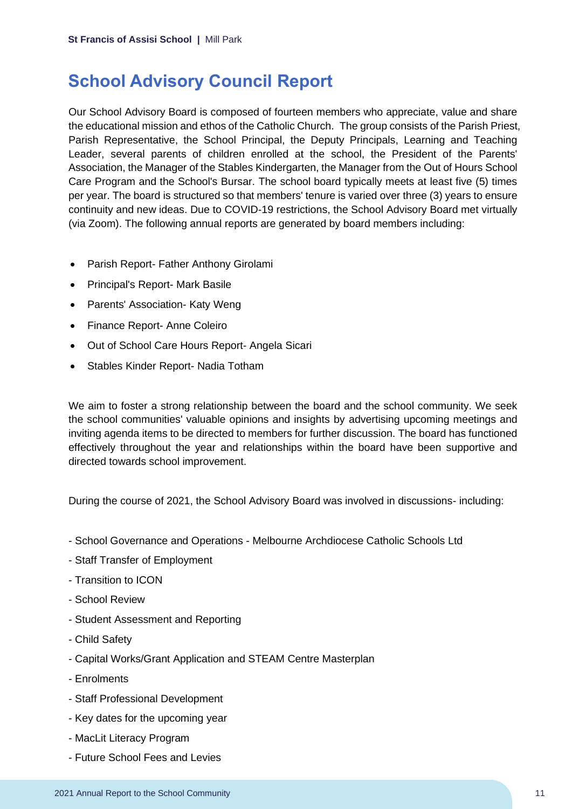### <span id="page-11-0"></span>**School Advisory Council Report**

Our School Advisory Board is composed of fourteen members who appreciate, value and share the educational mission and ethos of the Catholic Church. The group consists of the Parish Priest, Parish Representative, the School Principal, the Deputy Principals, Learning and Teaching Leader, several parents of children enrolled at the school, the President of the Parents' Association, the Manager of the Stables Kindergarten, the Manager from the Out of Hours School Care Program and the School's Bursar. The school board typically meets at least five (5) times per year. The board is structured so that members' tenure is varied over three (3) years to ensure continuity and new ideas. Due to COVID-19 restrictions, the School Advisory Board met virtually (via Zoom). The following annual reports are generated by board members including:

- Parish Report- Father Anthony Girolami
- Principal's Report- Mark Basile
- Parents' Association- Katy Weng
- Finance Report- Anne Coleiro
- Out of School Care Hours Report- Angela Sicari
- Stables Kinder Report- Nadia Totham

We aim to foster a strong relationship between the board and the school community. We seek the school communities' valuable opinions and insights by advertising upcoming meetings and inviting agenda items to be directed to members for further discussion. The board has functioned effectively throughout the year and relationships within the board have been supportive and directed towards school improvement.

During the course of 2021, the School Advisory Board was involved in discussions- including:

- School Governance and Operations Melbourne Archdiocese Catholic Schools Ltd
- Staff Transfer of Employment
- Transition to ICON
- School Review
- Student Assessment and Reporting
- Child Safety
- Capital Works/Grant Application and STEAM Centre Masterplan
- Enrolments
- Staff Professional Development
- Key dates for the upcoming year
- MacLit Literacy Program
- Future School Fees and Levies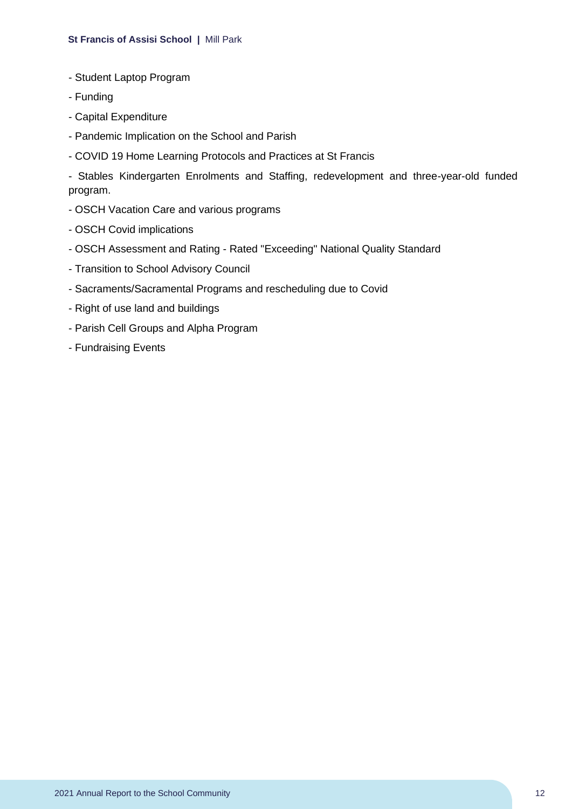#### **St Francis of Assisi School |** Mill Park

- Student Laptop Program
- Funding
- Capital Expenditure
- Pandemic Implication on the School and Parish
- COVID 19 Home Learning Protocols and Practices at St Francis

- Stables Kindergarten Enrolments and Staffing, redevelopment and three-year-old funded program.

- OSCH Vacation Care and various programs
- OSCH Covid implications
- OSCH Assessment and Rating Rated "Exceeding" National Quality Standard
- Transition to School Advisory Council
- Sacraments/Sacramental Programs and rescheduling due to Covid
- Right of use land and buildings
- Parish Cell Groups and Alpha Program
- Fundraising Events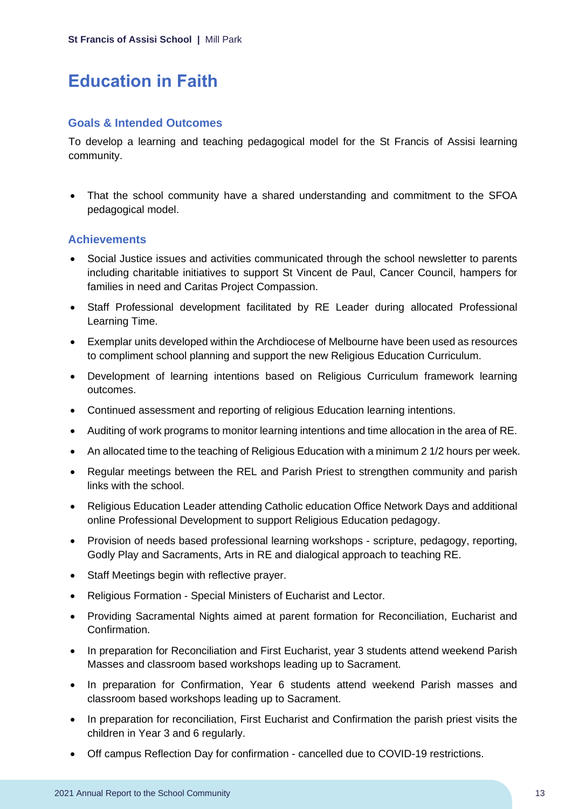# <span id="page-13-0"></span>**Education in Faith**

#### **Goals & Intended Outcomes**

To develop a learning and teaching pedagogical model for the St Francis of Assisi learning community.

• That the school community have a shared understanding and commitment to the SFOA pedagogical model.

### **Achievements**

- Social Justice issues and activities communicated through the school newsletter to parents including charitable initiatives to support St Vincent de Paul, Cancer Council, hampers for families in need and Caritas Project Compassion.
- Staff Professional development facilitated by RE Leader during allocated Professional Learning Time.
- Exemplar units developed within the Archdiocese of Melbourne have been used as resources to compliment school planning and support the new Religious Education Curriculum.
- Development of learning intentions based on Religious Curriculum framework learning outcomes.
- Continued assessment and reporting of religious Education learning intentions.
- Auditing of work programs to monitor learning intentions and time allocation in the area of RE.
- An allocated time to the teaching of Religious Education with a minimum 2 1/2 hours per week.
- Regular meetings between the REL and Parish Priest to strengthen community and parish links with the school.
- Religious Education Leader attending Catholic education Office Network Days and additional online Professional Development to support Religious Education pedagogy.
- Provision of needs based professional learning workshops scripture, pedagogy, reporting, Godly Play and Sacraments, Arts in RE and dialogical approach to teaching RE.
- Staff Meetings begin with reflective prayer.
- Religious Formation Special Ministers of Eucharist and Lector.
- Providing Sacramental Nights aimed at parent formation for Reconciliation, Eucharist and Confirmation.
- In preparation for Reconciliation and First Eucharist, year 3 students attend weekend Parish Masses and classroom based workshops leading up to Sacrament.
- In preparation for Confirmation, Year 6 students attend weekend Parish masses and classroom based workshops leading up to Sacrament.
- In preparation for reconciliation, First Eucharist and Confirmation the parish priest visits the children in Year 3 and 6 regularly.
- Off campus Reflection Day for confirmation cancelled due to COVID-19 restrictions.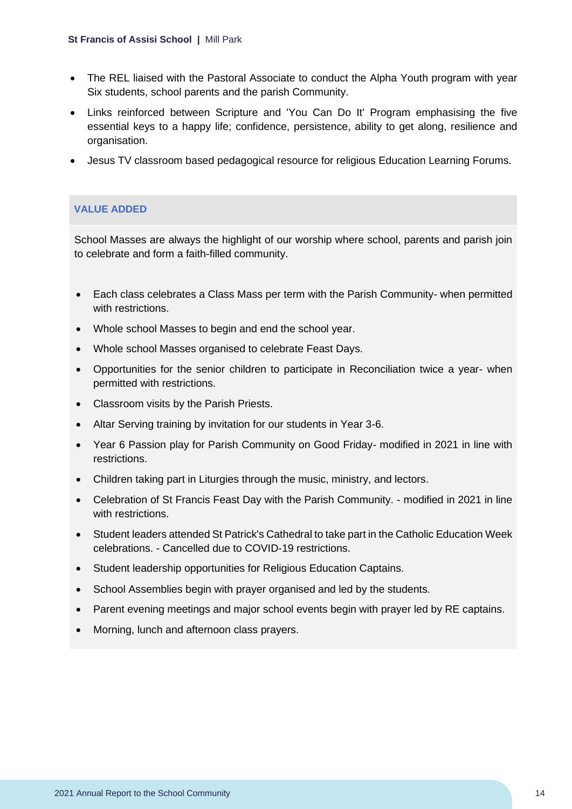#### **St Francis of Assisi School |** Mill Park

- The REL liaised with the Pastoral Associate to conduct the Alpha Youth program with year Six students, school parents and the parish Community.
- Links reinforced between Scripture and 'You Can Do It' Program emphasising the five essential keys to a happy life; confidence, persistence, ability to get along, resilience and organisation.
- Jesus TV classroom based pedagogical resource for religious Education Learning Forums.

### **VALUE ADDED**

School Masses are always the highlight of our worship where school, parents and parish join to celebrate and form a faith-filled community.

- Each class celebrates a Class Mass per term with the Parish Community- when permitted with restrictions.
- Whole school Masses to begin and end the school year.
- Whole school Masses organised to celebrate Feast Days.
- Opportunities for the senior children to participate in Reconciliation twice a year- when permitted with restrictions.
- Classroom visits by the Parish Priests.
- Altar Serving training by invitation for our students in Year 3-6.
- Year 6 Passion play for Parish Community on Good Friday- modified in 2021 in line with restrictions.
- Children taking part in Liturgies through the music, ministry, and lectors.
- Celebration of St Francis Feast Day with the Parish Community. modified in 2021 in line with restrictions.
- Student leaders attended St Patrick's Cathedral to take part in the Catholic Education Week celebrations. - Cancelled due to COVID-19 restrictions.
- Student leadership opportunities for Religious Education Captains.
- School Assemblies begin with prayer organised and led by the students.
- Parent evening meetings and major school events begin with prayer led by RE captains.
- Morning, lunch and afternoon class prayers.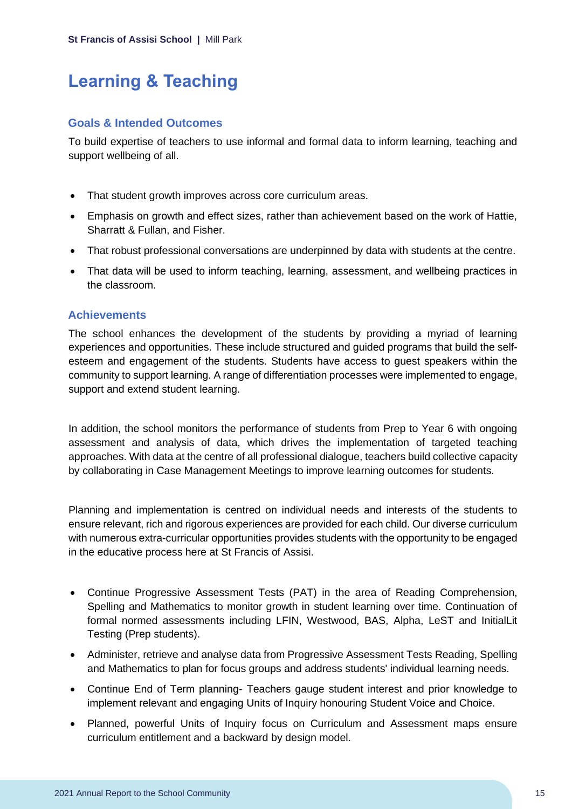# <span id="page-15-0"></span>**Learning & Teaching**

#### **Goals & Intended Outcomes**

To build expertise of teachers to use informal and formal data to inform learning, teaching and support wellbeing of all.

- That student growth improves across core curriculum areas.
- Emphasis on growth and effect sizes, rather than achievement based on the work of Hattie, Sharratt & Fullan, and Fisher.
- That robust professional conversations are underpinned by data with students at the centre.
- That data will be used to inform teaching, learning, assessment, and wellbeing practices in the classroom.

### **Achievements**

The school enhances the development of the students by providing a myriad of learning experiences and opportunities. These include structured and guided programs that build the selfesteem and engagement of the students. Students have access to guest speakers within the community to support learning. A range of differentiation processes were implemented to engage, support and extend student learning.

In addition, the school monitors the performance of students from Prep to Year 6 with ongoing assessment and analysis of data, which drives the implementation of targeted teaching approaches. With data at the centre of all professional dialogue, teachers build collective capacity by collaborating in Case Management Meetings to improve learning outcomes for students.

Planning and implementation is centred on individual needs and interests of the students to ensure relevant, rich and rigorous experiences are provided for each child. Our diverse curriculum with numerous extra-curricular opportunities provides students with the opportunity to be engaged in the educative process here at St Francis of Assisi.

- Continue Progressive Assessment Tests (PAT) in the area of Reading Comprehension, Spelling and Mathematics to monitor growth in student learning over time. Continuation of formal normed assessments including LFIN, Westwood, BAS, Alpha, LeST and InitialLit Testing (Prep students).
- Administer, retrieve and analyse data from Progressive Assessment Tests Reading, Spelling and Mathematics to plan for focus groups and address students' individual learning needs.
- Continue End of Term planning- Teachers gauge student interest and prior knowledge to implement relevant and engaging Units of Inquiry honouring Student Voice and Choice.
- Planned, powerful Units of Inquiry focus on Curriculum and Assessment maps ensure curriculum entitlement and a backward by design model.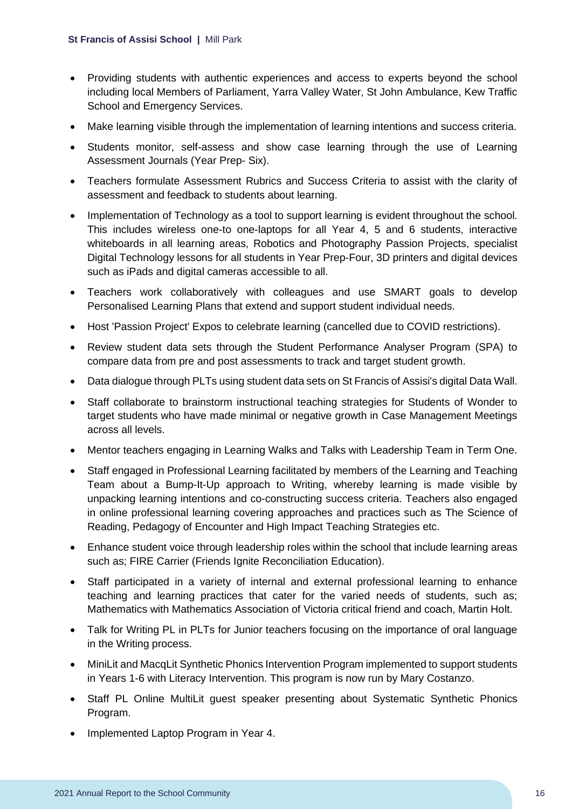- Providing students with authentic experiences and access to experts beyond the school including local Members of Parliament, Yarra Valley Water, St John Ambulance, Kew Traffic School and Emergency Services.
- Make learning visible through the implementation of learning intentions and success criteria.
- Students monitor, self-assess and show case learning through the use of Learning Assessment Journals (Year Prep- Six).
- Teachers formulate Assessment Rubrics and Success Criteria to assist with the clarity of assessment and feedback to students about learning.
- Implementation of Technology as a tool to support learning is evident throughout the school. This includes wireless one-to one-laptops for all Year 4, 5 and 6 students, interactive whiteboards in all learning areas, Robotics and Photography Passion Projects, specialist Digital Technology lessons for all students in Year Prep-Four, 3D printers and digital devices such as iPads and digital cameras accessible to all.
- Teachers work collaboratively with colleagues and use SMART goals to develop Personalised Learning Plans that extend and support student individual needs.
- Host 'Passion Project' Expos to celebrate learning (cancelled due to COVID restrictions).
- Review student data sets through the Student Performance Analyser Program (SPA) to compare data from pre and post assessments to track and target student growth.
- Data dialogue through PLTs using student data sets on St Francis of Assisi's digital Data Wall.
- Staff collaborate to brainstorm instructional teaching strategies for Students of Wonder to target students who have made minimal or negative growth in Case Management Meetings across all levels.
- Mentor teachers engaging in Learning Walks and Talks with Leadership Team in Term One.
- Staff engaged in Professional Learning facilitated by members of the Learning and Teaching Team about a Bump-It-Up approach to Writing, whereby learning is made visible by unpacking learning intentions and co-constructing success criteria. Teachers also engaged in online professional learning covering approaches and practices such as The Science of Reading, Pedagogy of Encounter and High Impact Teaching Strategies etc.
- Enhance student voice through leadership roles within the school that include learning areas such as; FIRE Carrier (Friends Ignite Reconciliation Education).
- Staff participated in a variety of internal and external professional learning to enhance teaching and learning practices that cater for the varied needs of students, such as; Mathematics with Mathematics Association of Victoria critical friend and coach, Martin Holt.
- Talk for Writing PL in PLTs for Junior teachers focusing on the importance of oral language in the Writing process.
- MiniLit and MacqLit Synthetic Phonics Intervention Program implemented to support students in Years 1-6 with Literacy Intervention. This program is now run by Mary Costanzo.
- Staff PL Online MultiLit guest speaker presenting about Systematic Synthetic Phonics Program.
- Implemented Laptop Program in Year 4.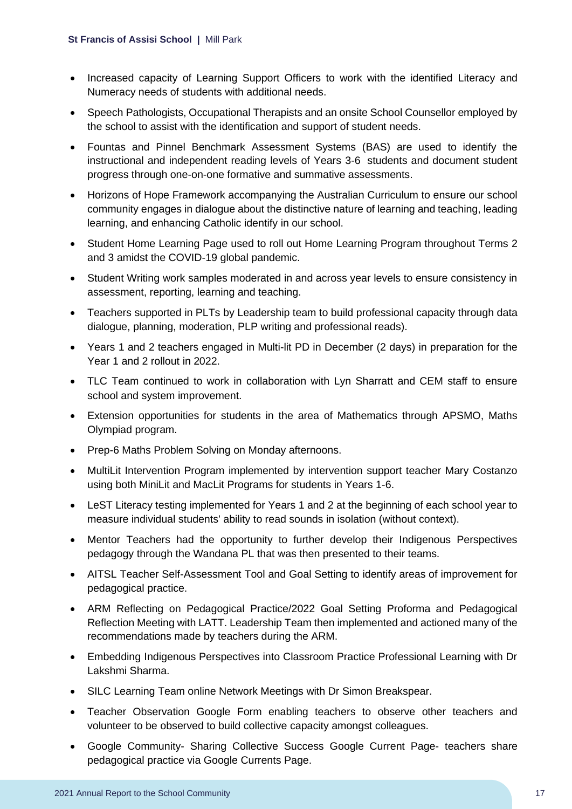- Increased capacity of Learning Support Officers to work with the identified Literacy and Numeracy needs of students with additional needs.
- Speech Pathologists, Occupational Therapists and an onsite School Counsellor employed by the school to assist with the identification and support of student needs.
- Fountas and Pinnel Benchmark Assessment Systems (BAS) are used to identify the instructional and independent reading levels of Years 3-6 students and document student progress through one-on-one formative and summative assessments.
- Horizons of Hope Framework accompanying the Australian Curriculum to ensure our school community engages in dialogue about the distinctive nature of learning and teaching, leading learning, and enhancing Catholic identify in our school.
- Student Home Learning Page used to roll out Home Learning Program throughout Terms 2 and 3 amidst the COVID-19 global pandemic.
- Student Writing work samples moderated in and across year levels to ensure consistency in assessment, reporting, learning and teaching.
- Teachers supported in PLTs by Leadership team to build professional capacity through data dialogue, planning, moderation, PLP writing and professional reads).
- Years 1 and 2 teachers engaged in Multi-lit PD in December (2 days) in preparation for the Year 1 and 2 rollout in 2022.
- TLC Team continued to work in collaboration with Lyn Sharratt and CEM staff to ensure school and system improvement.
- Extension opportunities for students in the area of Mathematics through APSMO, Maths Olympiad program.
- Prep-6 Maths Problem Solving on Monday afternoons.
- MultiLit Intervention Program implemented by intervention support teacher Mary Costanzo using both MiniLit and MacLit Programs for students in Years 1-6.
- LeST Literacy testing implemented for Years 1 and 2 at the beginning of each school year to measure individual students' ability to read sounds in isolation (without context).
- Mentor Teachers had the opportunity to further develop their Indigenous Perspectives pedagogy through the Wandana PL that was then presented to their teams.
- AITSL Teacher Self-Assessment Tool and Goal Setting to identify areas of improvement for pedagogical practice.
- ARM Reflecting on Pedagogical Practice/2022 Goal Setting Proforma and Pedagogical Reflection Meeting with LATT. Leadership Team then implemented and actioned many of the recommendations made by teachers during the ARM.
- Embedding Indigenous Perspectives into Classroom Practice Professional Learning with Dr Lakshmi Sharma.
- SILC Learning Team online Network Meetings with Dr Simon Breakspear.
- Teacher Observation Google Form enabling teachers to observe other teachers and volunteer to be observed to build collective capacity amongst colleagues.
- Google Community- Sharing Collective Success Google Current Page- teachers share pedagogical practice via Google Currents Page.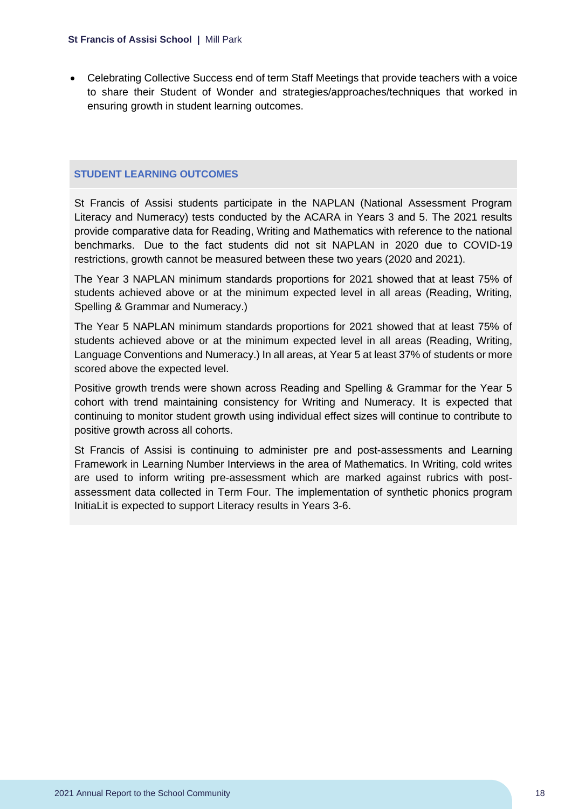• Celebrating Collective Success end of term Staff Meetings that provide teachers with a voice to share their Student of Wonder and strategies/approaches/techniques that worked in ensuring growth in student learning outcomes.

#### **STUDENT LEARNING OUTCOMES**

St Francis of Assisi students participate in the NAPLAN (National Assessment Program Literacy and Numeracy) tests conducted by the ACARA in Years 3 and 5. The 2021 results provide comparative data for Reading, Writing and Mathematics with reference to the national benchmarks. Due to the fact students did not sit NAPLAN in 2020 due to COVID-19 restrictions, growth cannot be measured between these two years (2020 and 2021).

The Year 3 NAPLAN minimum standards proportions for 2021 showed that at least 75% of students achieved above or at the minimum expected level in all areas (Reading, Writing, Spelling & Grammar and Numeracy.)

The Year 5 NAPLAN minimum standards proportions for 2021 showed that at least 75% of students achieved above or at the minimum expected level in all areas (Reading, Writing, Language Conventions and Numeracy.) In all areas, at Year 5 at least 37% of students or more scored above the expected level.

Positive growth trends were shown across Reading and Spelling & Grammar for the Year 5 cohort with trend maintaining consistency for Writing and Numeracy. It is expected that continuing to monitor student growth using individual effect sizes will continue to contribute to positive growth across all cohorts.

St Francis of Assisi is continuing to administer pre and post-assessments and Learning Framework in Learning Number Interviews in the area of Mathematics. In Writing, cold writes are used to inform writing pre-assessment which are marked against rubrics with postassessment data collected in Term Four. The implementation of synthetic phonics program InitiaLit is expected to support Literacy results in Years 3-6.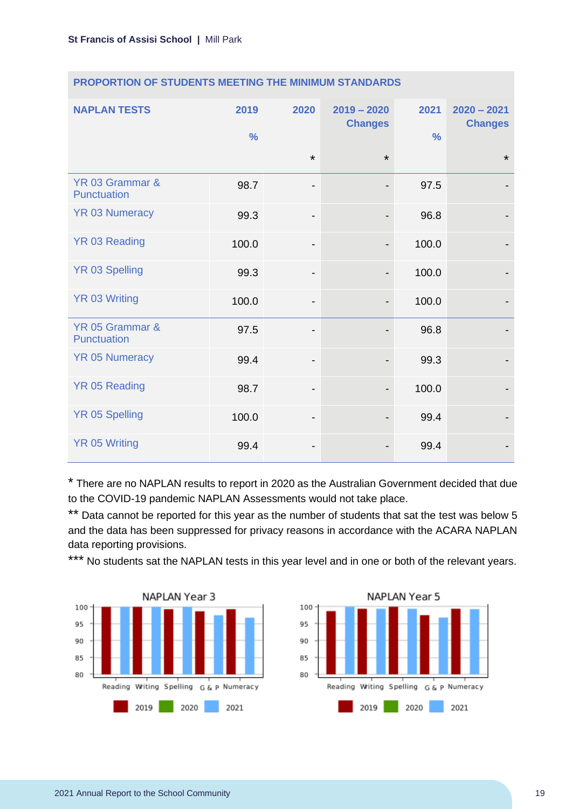| <b>NAPLAN TESTS</b>            | 2019<br>$\frac{0}{0}$ | 2020                         | $2019 - 2020$<br><b>Changes</b> | 2021<br>$\frac{0}{0}$ | $2020 - 2021$<br><b>Changes</b> |
|--------------------------------|-----------------------|------------------------------|---------------------------------|-----------------------|---------------------------------|
|                                |                       | $\star$                      | $\star$                         |                       | $\star$                         |
| YR 03 Grammar &<br>Punctuation | 98.7                  | -                            |                                 | 97.5                  |                                 |
| <b>YR 03 Numeracy</b>          | 99.3                  | $\overline{\phantom{0}}$     |                                 | 96.8                  |                                 |
| YR 03 Reading                  | 100.0                 | $\overline{\phantom{0}}$     | $\overline{\phantom{a}}$        | 100.0                 |                                 |
| <b>YR 03 Spelling</b>          | 99.3                  | $\qquad \qquad \blacksquare$ |                                 | 100.0                 |                                 |
| <b>YR 03 Writing</b>           | 100.0                 | $\qquad \qquad \blacksquare$ |                                 | 100.0                 |                                 |
| YR 05 Grammar &<br>Punctuation | 97.5                  | -                            |                                 | 96.8                  |                                 |
| <b>YR 05 Numeracy</b>          | 99.4                  | $\qquad \qquad \blacksquare$ |                                 | 99.3                  |                                 |
| <b>YR 05 Reading</b>           | 98.7                  | $\qquad \qquad \blacksquare$ |                                 | 100.0                 |                                 |
| <b>YR 05 Spelling</b>          | 100.0                 | $\qquad \qquad \blacksquare$ |                                 | 99.4                  |                                 |
| <b>YR 05 Writing</b>           | 99.4                  | -                            |                                 | 99.4                  |                                 |

#### **PROPORTION OF STUDENTS MEETING THE MINIMUM STANDARDS**

\* There are no NAPLAN results to report in 2020 as the Australian Government decided that due to the COVID-19 pandemic NAPLAN Assessments would not take place.

\*\* Data cannot be reported for this year as the number of students that sat the test was below 5 and the data has been suppressed for privacy reasons in accordance with the ACARA NAPLAN data reporting provisions.

\*\*\* No students sat the NAPLAN tests in this year level and in one or both of the relevant years.



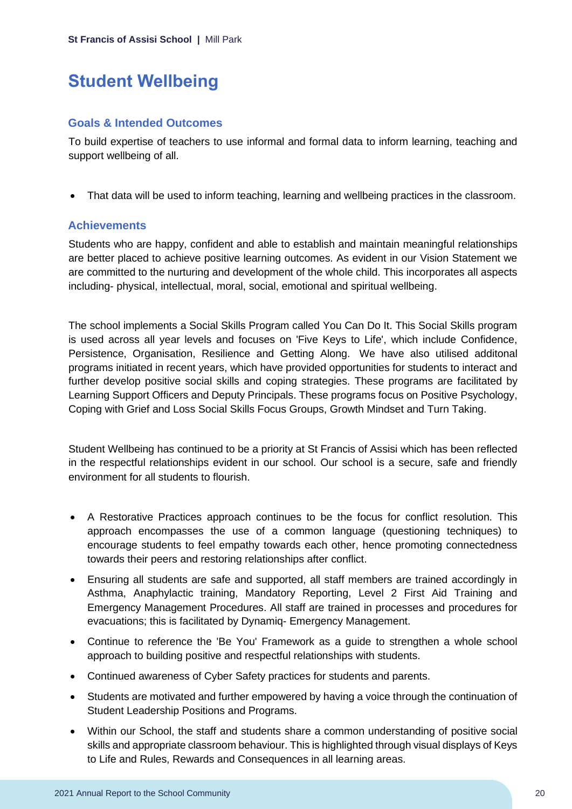# <span id="page-20-0"></span>**Student Wellbeing**

### **Goals & Intended Outcomes**

To build expertise of teachers to use informal and formal data to inform learning, teaching and support wellbeing of all.

• That data will be used to inform teaching, learning and wellbeing practices in the classroom.

### **Achievements**

Students who are happy, confident and able to establish and maintain meaningful relationships are better placed to achieve positive learning outcomes. As evident in our Vision Statement we are committed to the nurturing and development of the whole child. This incorporates all aspects including- physical, intellectual, moral, social, emotional and spiritual wellbeing.

The school implements a Social Skills Program called You Can Do It. This Social Skills program is used across all year levels and focuses on 'Five Keys to Life', which include Confidence, Persistence, Organisation, Resilience and Getting Along. We have also utilised additonal programs initiated in recent years, which have provided opportunities for students to interact and further develop positive social skills and coping strategies. These programs are facilitated by Learning Support Officers and Deputy Principals. These programs focus on Positive Psychology, Coping with Grief and Loss Social Skills Focus Groups, Growth Mindset and Turn Taking.

Student Wellbeing has continued to be a priority at St Francis of Assisi which has been reflected in the respectful relationships evident in our school. Our school is a secure, safe and friendly environment for all students to flourish.

- A Restorative Practices approach continues to be the focus for conflict resolution. This approach encompasses the use of a common language (questioning techniques) to encourage students to feel empathy towards each other, hence promoting connectedness towards their peers and restoring relationships after conflict.
- Ensuring all students are safe and supported, all staff members are trained accordingly in Asthma, Anaphylactic training, Mandatory Reporting, Level 2 First Aid Training and Emergency Management Procedures. All staff are trained in processes and procedures for evacuations; this is facilitated by Dynamiq- Emergency Management.
- Continue to reference the 'Be You' Framework as a guide to strengthen a whole school approach to building positive and respectful relationships with students.
- Continued awareness of Cyber Safety practices for students and parents.
- Students are motivated and further empowered by having a voice through the continuation of Student Leadership Positions and Programs.
- Within our School, the staff and students share a common understanding of positive social skills and appropriate classroom behaviour. This is highlighted through visual displays of Keys to Life and Rules, Rewards and Consequences in all learning areas.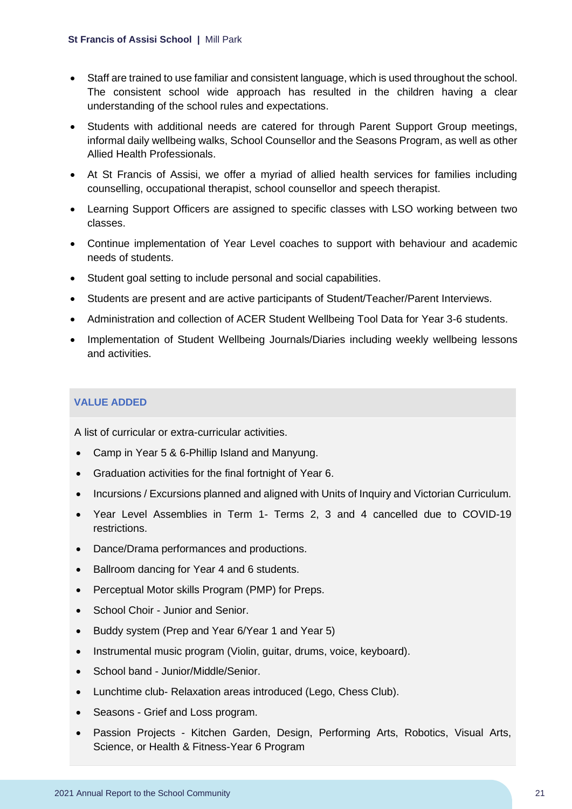- Staff are trained to use familiar and consistent language, which is used throughout the school. The consistent school wide approach has resulted in the children having a clear understanding of the school rules and expectations.
- Students with additional needs are catered for through Parent Support Group meetings, informal daily wellbeing walks, School Counsellor and the Seasons Program, as well as other Allied Health Professionals.
- At St Francis of Assisi, we offer a myriad of allied health services for families including counselling, occupational therapist, school counsellor and speech therapist.
- Learning Support Officers are assigned to specific classes with LSO working between two classes.
- Continue implementation of Year Level coaches to support with behaviour and academic needs of students.
- Student goal setting to include personal and social capabilities.
- Students are present and are active participants of Student/Teacher/Parent Interviews.
- Administration and collection of ACER Student Wellbeing Tool Data for Year 3-6 students.
- Implementation of Student Wellbeing Journals/Diaries including weekly wellbeing lessons and activities.

### **VALUE ADDED**

A list of curricular or extra-curricular activities.

- Camp in Year 5 & 6-Phillip Island and Manyung.
- Graduation activities for the final fortnight of Year 6.
- Incursions / Excursions planned and aligned with Units of Inquiry and Victorian Curriculum.
- Year Level Assemblies in Term 1- Terms 2, 3 and 4 cancelled due to COVID-19 restrictions.
- Dance/Drama performances and productions.
- Ballroom dancing for Year 4 and 6 students.
- Perceptual Motor skills Program (PMP) for Preps.
- School Choir Junior and Senior.
- Buddy system (Prep and Year 6/Year 1 and Year 5)
- Instrumental music program (Violin, guitar, drums, voice, keyboard).
- School band Junior/Middle/Senior.
- Lunchtime club- Relaxation areas introduced (Lego, Chess Club).
- Seasons Grief and Loss program.
- Passion Projects Kitchen Garden, Design, Performing Arts, Robotics, Visual Arts, Science, or Health & Fitness-Year 6 Program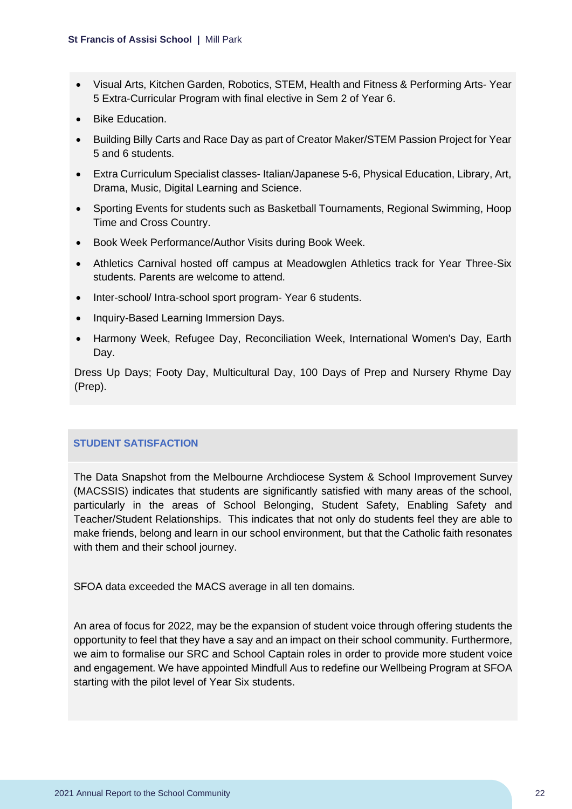- Visual Arts, Kitchen Garden, Robotics, STEM, Health and Fitness & Performing Arts- Year 5 Extra-Curricular Program with final elective in Sem 2 of Year 6.
- Bike Education.
- Building Billy Carts and Race Day as part of Creator Maker/STEM Passion Project for Year 5 and 6 students.
- Extra Curriculum Specialist classes- Italian/Japanese 5-6, Physical Education, Library, Art, Drama, Music, Digital Learning and Science.
- Sporting Events for students such as Basketball Tournaments, Regional Swimming, Hoop Time and Cross Country.
- Book Week Performance/Author Visits during Book Week.
- Athletics Carnival hosted off campus at Meadowglen Athletics track for Year Three-Six students. Parents are welcome to attend.
- Inter-school/ Intra-school sport program- Year 6 students.
- Inquiry-Based Learning Immersion Days.
- Harmony Week, Refugee Day, Reconciliation Week, International Women's Day, Earth Day.

Dress Up Days; Footy Day, Multicultural Day, 100 Days of Prep and Nursery Rhyme Day (Prep).

#### **STUDENT SATISFACTION**

The Data Snapshot from the Melbourne Archdiocese System & School Improvement Survey (MACSSIS) indicates that students are significantly satisfied with many areas of the school, particularly in the areas of School Belonging, Student Safety, Enabling Safety and Teacher/Student Relationships. This indicates that not only do students feel they are able to make friends, belong and learn in our school environment, but that the Catholic faith resonates with them and their school journey.

SFOA data exceeded the MACS average in all ten domains.

An area of focus for 2022, may be the expansion of student voice through offering students the opportunity to feel that they have a say and an impact on their school community. Furthermore, we aim to formalise our SRC and School Captain roles in order to provide more student voice and engagement. We have appointed Mindfull Aus to redefine our Wellbeing Program at SFOA starting with the pilot level of Year Six students.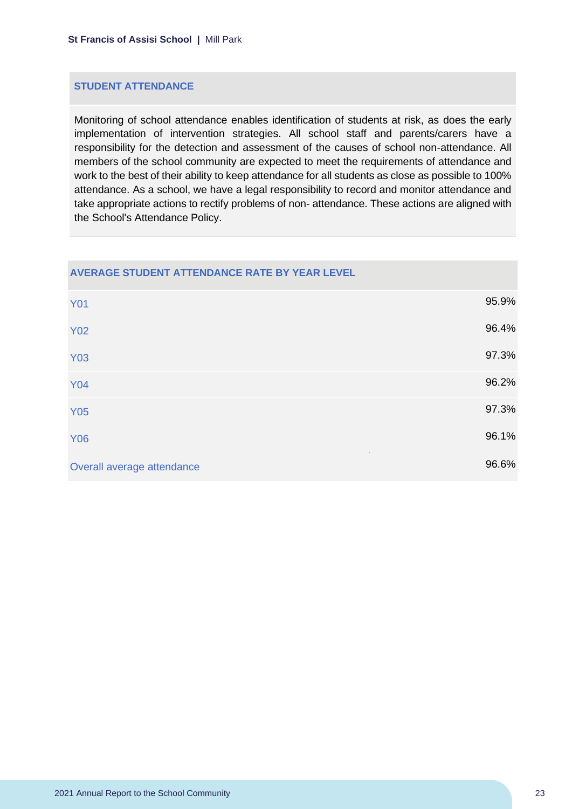#### **STUDENT ATTENDANCE**

Monitoring of school attendance enables identification of students at risk, as does the early implementation of intervention strategies. All school staff and parents/carers have a responsibility for the detection and assessment of the causes of school non-attendance. All members of the school community are expected to meet the requirements of attendance and work to the best of their ability to keep attendance for all students as close as possible to 100% attendance. As a school, we have a legal responsibility to record and monitor attendance and take appropriate actions to rectify problems of non- attendance. These actions are aligned with the School's Attendance Policy.

#### **AVERAGE STUDENT ATTENDANCE RATE BY YEAR LEVEL**

| <b>Y01</b>                 | 95.9% |
|----------------------------|-------|
| <b>Y02</b>                 | 96.4% |
| <b>Y03</b>                 | 97.3% |
| <b>Y04</b>                 | 96.2% |
| <b>Y05</b>                 | 97.3% |
| <b>Y06</b>                 | 96.1% |
| Overall average attendance | 96.6% |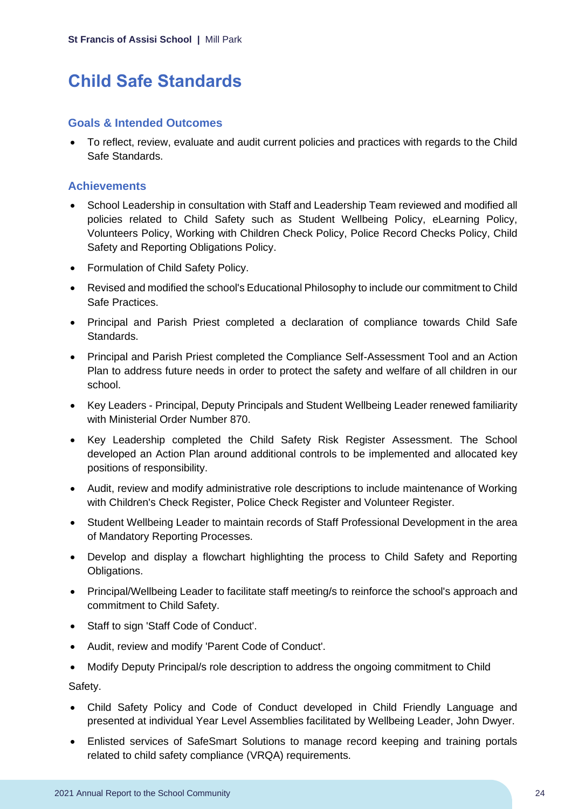# <span id="page-24-0"></span>**Child Safe Standards**

#### **Goals & Intended Outcomes**

• To reflect, review, evaluate and audit current policies and practices with regards to the Child Safe Standards.

### **Achievements**

- School Leadership in consultation with Staff and Leadership Team reviewed and modified all policies related to Child Safety such as Student Wellbeing Policy, eLearning Policy, Volunteers Policy, Working with Children Check Policy, Police Record Checks Policy, Child Safety and Reporting Obligations Policy.
- Formulation of Child Safety Policy.
- Revised and modified the school's Educational Philosophy to include our commitment to Child Safe Practices.
- Principal and Parish Priest completed a declaration of compliance towards Child Safe Standards.
- Principal and Parish Priest completed the Compliance Self-Assessment Tool and an Action Plan to address future needs in order to protect the safety and welfare of all children in our school.
- Key Leaders Principal, Deputy Principals and Student Wellbeing Leader renewed familiarity with Ministerial Order Number 870.
- Key Leadership completed the Child Safety Risk Register Assessment. The School developed an Action Plan around additional controls to be implemented and allocated key positions of responsibility.
- Audit, review and modify administrative role descriptions to include maintenance of Working with Children's Check Register, Police Check Register and Volunteer Register.
- Student Wellbeing Leader to maintain records of Staff Professional Development in the area of Mandatory Reporting Processes.
- Develop and display a flowchart highlighting the process to Child Safety and Reporting Obligations.
- Principal/Wellbeing Leader to facilitate staff meeting/s to reinforce the school's approach and commitment to Child Safety.
- Staff to sign 'Staff Code of Conduct'.
- Audit, review and modify 'Parent Code of Conduct'.
- Modify Deputy Principal/s role description to address the ongoing commitment to Child

Safety.

- Child Safety Policy and Code of Conduct developed in Child Friendly Language and presented at individual Year Level Assemblies facilitated by Wellbeing Leader, John Dwyer.
- Enlisted services of SafeSmart Solutions to manage record keeping and training portals related to child safety compliance (VRQA) requirements.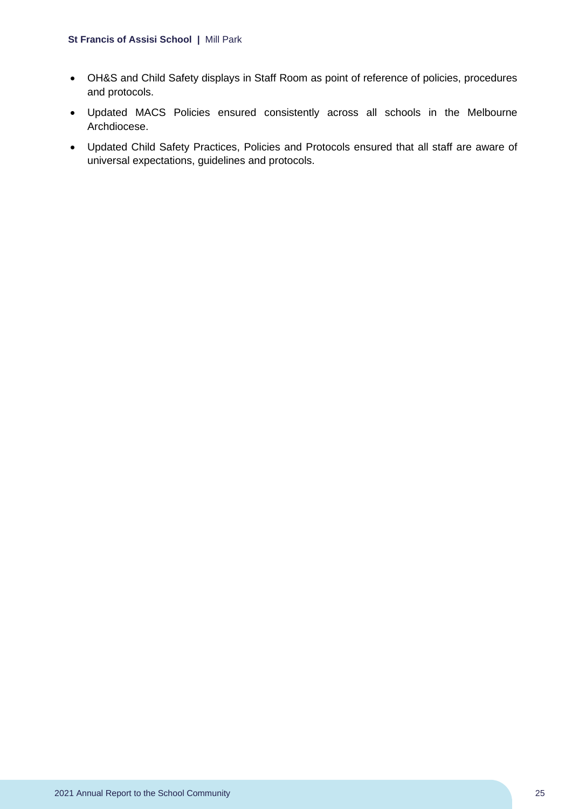- OH&S and Child Safety displays in Staff Room as point of reference of policies, procedures and protocols.
- Updated MACS Policies ensured consistently across all schools in the Melbourne Archdiocese.
- Updated Child Safety Practices, Policies and Protocols ensured that all staff are aware of universal expectations, guidelines and protocols.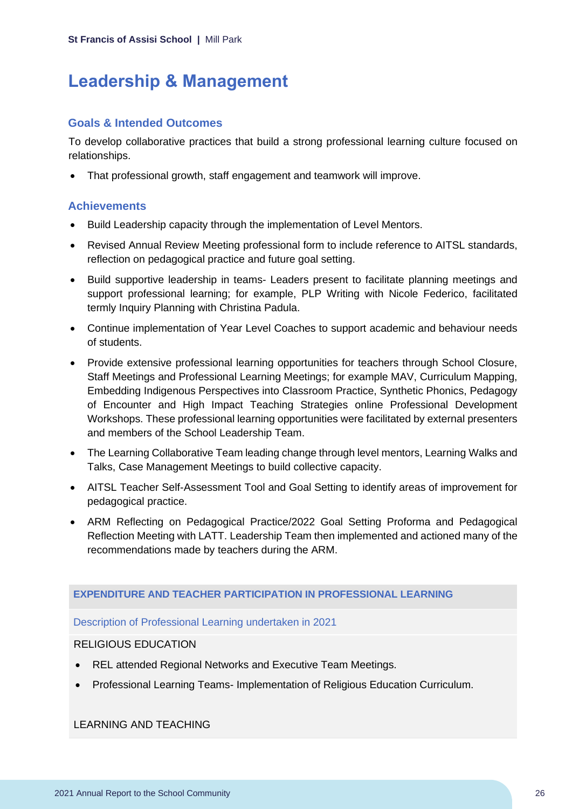# <span id="page-26-0"></span>**Leadership & Management**

### **Goals & Intended Outcomes**

To develop collaborative practices that build a strong professional learning culture focused on relationships.

• That professional growth, staff engagement and teamwork will improve.

### **Achievements**

- Build Leadership capacity through the implementation of Level Mentors.
- Revised Annual Review Meeting professional form to include reference to AITSL standards, reflection on pedagogical practice and future goal setting.
- Build supportive leadership in teams- Leaders present to facilitate planning meetings and support professional learning; for example, PLP Writing with Nicole Federico, facilitated termly Inquiry Planning with Christina Padula.
- Continue implementation of Year Level Coaches to support academic and behaviour needs of students.
- Provide extensive professional learning opportunities for teachers through School Closure, Staff Meetings and Professional Learning Meetings; for example MAV, Curriculum Mapping, Embedding Indigenous Perspectives into Classroom Practice, Synthetic Phonics, Pedagogy of Encounter and High Impact Teaching Strategies online Professional Development Workshops. These professional learning opportunities were facilitated by external presenters and members of the School Leadership Team.
- The Learning Collaborative Team leading change through level mentors, Learning Walks and Talks, Case Management Meetings to build collective capacity.
- AITSL Teacher Self-Assessment Tool and Goal Setting to identify areas of improvement for pedagogical practice.
- ARM Reflecting on Pedagogical Practice/2022 Goal Setting Proforma and Pedagogical Reflection Meeting with LATT. Leadership Team then implemented and actioned many of the recommendations made by teachers during the ARM.

### **EXPENDITURE AND TEACHER PARTICIPATION IN PROFESSIONAL LEARNING**

#### Description of Professional Learning undertaken in 2021

#### RELIGIOUS EDUCATION

- REL attended Regional Networks and Executive Team Meetings.
- Professional Learning Teams- Implementation of Religious Education Curriculum.

LEARNING AND TEACHING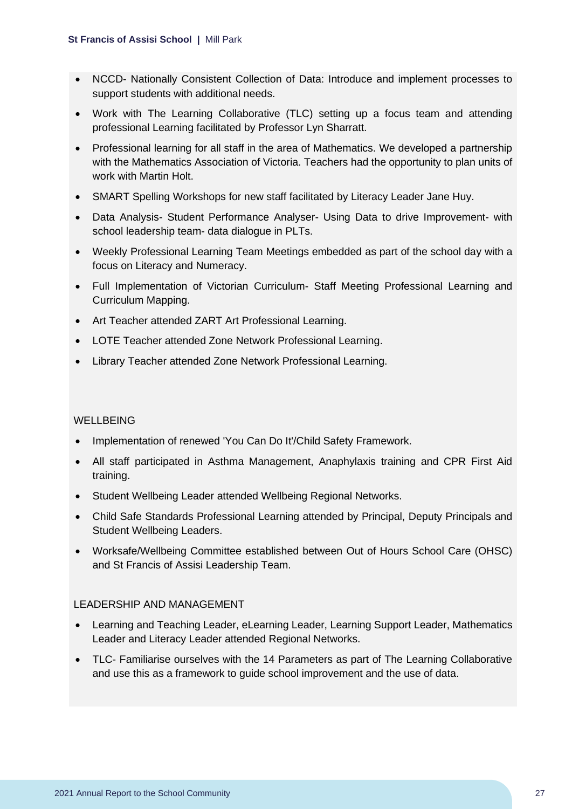- NCCD- Nationally Consistent Collection of Data: Introduce and implement processes to support students with additional needs.
- Work with The Learning Collaborative (TLC) setting up a focus team and attending professional Learning facilitated by Professor Lyn Sharratt.
- Professional learning for all staff in the area of Mathematics. We developed a partnership with the Mathematics Association of Victoria. Teachers had the opportunity to plan units of work with Martin Holt.
- SMART Spelling Workshops for new staff facilitated by Literacy Leader Jane Huy.
- Data Analysis- Student Performance Analyser- Using Data to drive Improvement- with school leadership team- data dialogue in PLTs.
- Weekly Professional Learning Team Meetings embedded as part of the school day with a focus on Literacy and Numeracy.
- Full Implementation of Victorian Curriculum- Staff Meeting Professional Learning and Curriculum Mapping.
- Art Teacher attended ZART Art Professional Learning.
- LOTE Teacher attended Zone Network Professional Learning.
- Library Teacher attended Zone Network Professional Learning.

#### WELLBEING

- Implementation of renewed 'You Can Do It'/Child Safety Framework.
- All staff participated in Asthma Management, Anaphylaxis training and CPR First Aid training.
- Student Wellbeing Leader attended Wellbeing Regional Networks.
- Child Safe Standards Professional Learning attended by Principal, Deputy Principals and Student Wellbeing Leaders.
- Worksafe/Wellbeing Committee established between Out of Hours School Care (OHSC) and St Francis of Assisi Leadership Team.

#### LEADERSHIP AND MANAGEMENT

- Learning and Teaching Leader, eLearning Leader, Learning Support Leader, Mathematics Leader and Literacy Leader attended Regional Networks.
- TLC- Familiarise ourselves with the 14 Parameters as part of The Learning Collaborative and use this as a framework to guide school improvement and the use of data.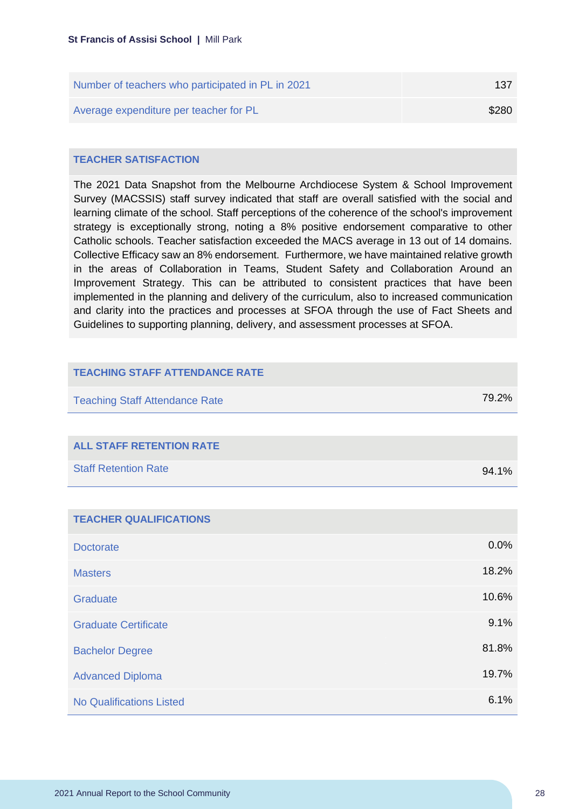| Number of teachers who participated in PL in 2021 | 137   |
|---------------------------------------------------|-------|
| Average expenditure per teacher for PL            | \$280 |

#### **TEACHER SATISFACTION**

The 2021 Data Snapshot from the Melbourne Archdiocese System & School Improvement Survey (MACSSIS) staff survey indicated that staff are overall satisfied with the social and learning climate of the school. Staff perceptions of the coherence of the school's improvement strategy is exceptionally strong, noting a 8% positive endorsement comparative to other Catholic schools. Teacher satisfaction exceeded the MACS average in 13 out of 14 domains. Collective Efficacy saw an 8% endorsement. Furthermore, we have maintained relative growth in the areas of Collaboration in Teams, Student Safety and Collaboration Around an Improvement Strategy. This can be attributed to consistent practices that have been implemented in the planning and delivery of the curriculum, also to increased communication and clarity into the practices and processes at SFOA through the use of Fact Sheets and Guidelines to supporting planning, delivery, and assessment processes at SFOA.

| <b>TEACHING STAFF ATTENDANCE RATE</b> |       |
|---------------------------------------|-------|
| <b>Teaching Staff Attendance Rate</b> | 79.2% |
|                                       |       |
| <b>ALL STAFF RETENTION RATE</b>       |       |
| <b>Staff Retention Rate</b>           | 94.1% |
|                                       |       |
| <b>TEACHER QUALIFICATIONS</b>         |       |
| <b>Doctorate</b>                      | 0.0%  |
| <b>Masters</b>                        | 18.2% |
| Graduate                              | 10.6% |
| <b>Graduate Certificate</b>           | 9.1%  |
| <b>Bachelor Degree</b>                | 81.8% |
| <b>Advanced Diploma</b>               | 19.7% |
| <b>No Qualifications Listed</b>       | 6.1%  |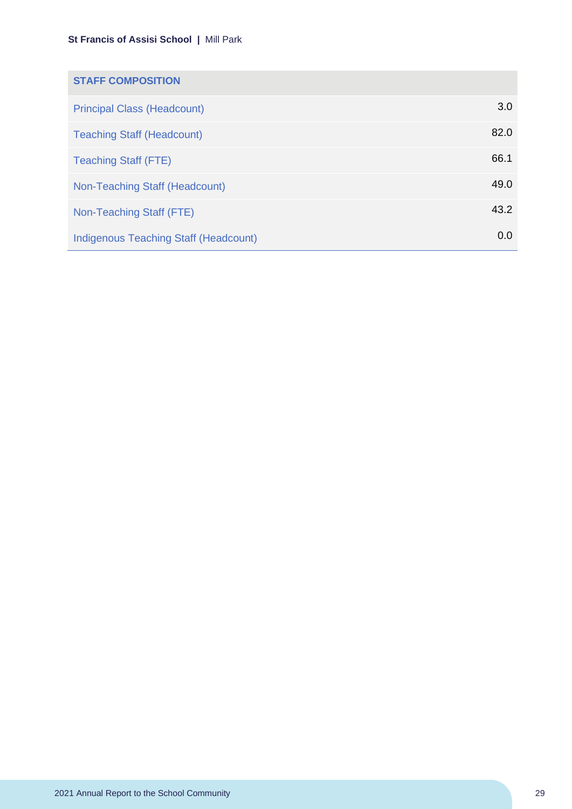| <b>STAFF COMPOSITION</b>                     |      |
|----------------------------------------------|------|
| <b>Principal Class (Headcount)</b>           | 3.0  |
| <b>Teaching Staff (Headcount)</b>            | 82.0 |
| <b>Teaching Staff (FTE)</b>                  | 66.1 |
| Non-Teaching Staff (Headcount)               | 49.0 |
| Non-Teaching Staff (FTE)                     | 43.2 |
| <b>Indigenous Teaching Staff (Headcount)</b> | 0.0  |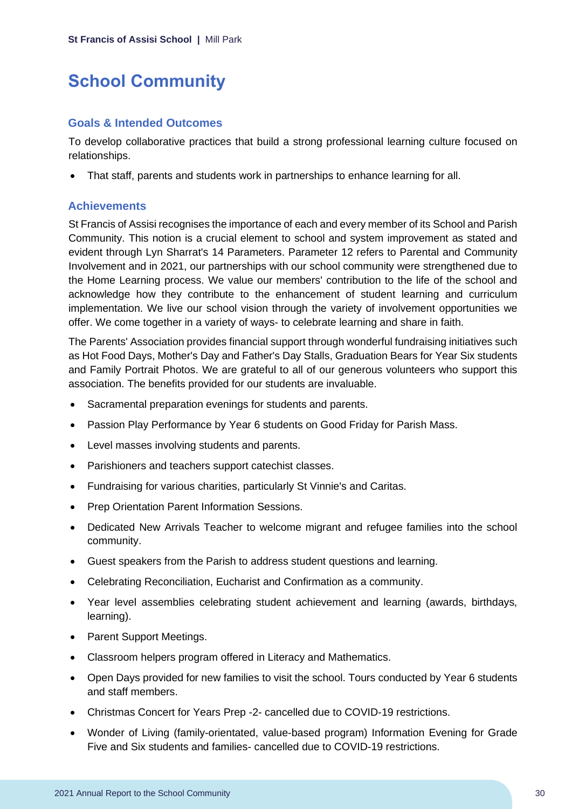# <span id="page-30-0"></span>**School Community**

### **Goals & Intended Outcomes**

To develop collaborative practices that build a strong professional learning culture focused on relationships.

• That staff, parents and students work in partnerships to enhance learning for all.

### **Achievements**

St Francis of Assisi recognises the importance of each and every member of its School and Parish Community. This notion is a crucial element to school and system improvement as stated and evident through Lyn Sharrat's 14 Parameters. Parameter 12 refers to Parental and Community Involvement and in 2021, our partnerships with our school community were strengthened due to the Home Learning process. We value our members' contribution to the life of the school and acknowledge how they contribute to the enhancement of student learning and curriculum implementation. We live our school vision through the variety of involvement opportunities we offer. We come together in a variety of ways- to celebrate learning and share in faith.

The Parents' Association provides financial support through wonderful fundraising initiatives such as Hot Food Days, Mother's Day and Father's Day Stalls, Graduation Bears for Year Six students and Family Portrait Photos. We are grateful to all of our generous volunteers who support this association. The benefits provided for our students are invaluable.

- Sacramental preparation evenings for students and parents.
- Passion Play Performance by Year 6 students on Good Friday for Parish Mass.
- Level masses involving students and parents.
- Parishioners and teachers support catechist classes.
- Fundraising for various charities, particularly St Vinnie's and Caritas.
- Prep Orientation Parent Information Sessions.
- Dedicated New Arrivals Teacher to welcome migrant and refugee families into the school community.
- Guest speakers from the Parish to address student questions and learning.
- Celebrating Reconciliation, Eucharist and Confirmation as a community.
- Year level assemblies celebrating student achievement and learning (awards, birthdays, learning).
- Parent Support Meetings.
- Classroom helpers program offered in Literacy and Mathematics.
- Open Days provided for new families to visit the school. Tours conducted by Year 6 students and staff members.
- Christmas Concert for Years Prep -2- cancelled due to COVID-19 restrictions.
- Wonder of Living (family-orientated, value-based program) Information Evening for Grade Five and Six students and families- cancelled due to COVID-19 restrictions.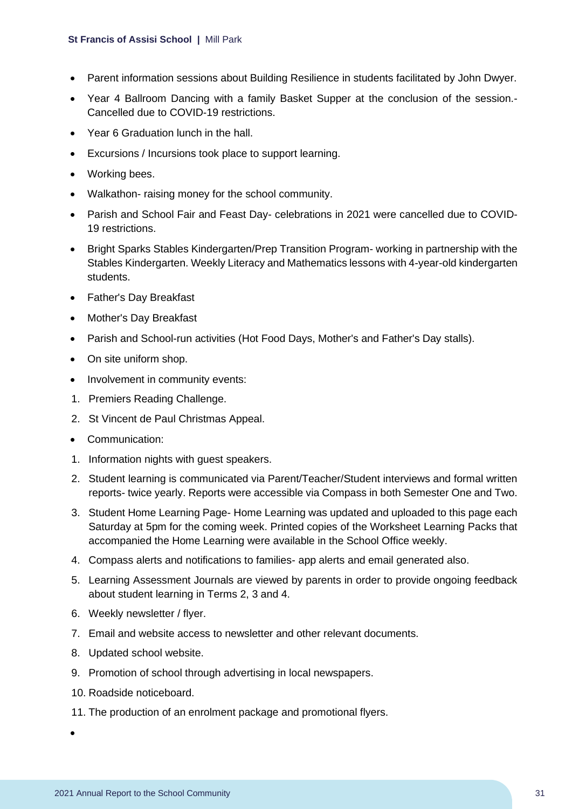- Parent information sessions about Building Resilience in students facilitated by John Dwyer.
- Year 4 Ballroom Dancing with a family Basket Supper at the conclusion of the session.- Cancelled due to COVID-19 restrictions.
- Year 6 Graduation lunch in the hall.
- Excursions / Incursions took place to support learning.
- Working bees.
- Walkathon- raising money for the school community.
- Parish and School Fair and Feast Day- celebrations in 2021 were cancelled due to COVID-19 restrictions.
- Bright Sparks Stables Kindergarten/Prep Transition Program- working in partnership with the Stables Kindergarten. Weekly Literacy and Mathematics lessons with 4-year-old kindergarten students.
- Father's Day Breakfast
- Mother's Day Breakfast
- Parish and School-run activities (Hot Food Days, Mother's and Father's Day stalls).
- On site uniform shop.
- Involvement in community events:
- 1. Premiers Reading Challenge.
- 2. St Vincent de Paul Christmas Appeal.
- Communication:
- 1. Information nights with guest speakers.
- 2. Student learning is communicated via Parent/Teacher/Student interviews and formal written reports- twice yearly. Reports were accessible via Compass in both Semester One and Two.
- 3. Student Home Learning Page- Home Learning was updated and uploaded to this page each Saturday at 5pm for the coming week. Printed copies of the Worksheet Learning Packs that accompanied the Home Learning were available in the School Office weekly.
- 4. Compass alerts and notifications to families- app alerts and email generated also.
- 5. Learning Assessment Journals are viewed by parents in order to provide ongoing feedback about student learning in Terms 2, 3 and 4.
- 6. Weekly newsletter / flyer.
- 7. Email and website access to newsletter and other relevant documents.
- 8. Updated school website.
- 9. Promotion of school through advertising in local newspapers.
- 10. Roadside noticeboard.
- 11. The production of an enrolment package and promotional flyers.

•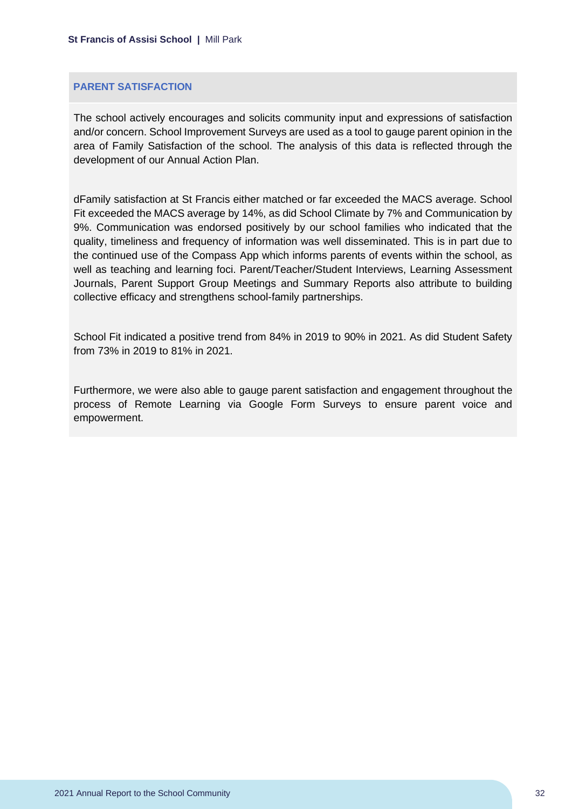#### **PARENT SATISFACTION**

The school actively encourages and solicits community input and expressions of satisfaction and/or concern. School Improvement Surveys are used as a tool to gauge parent opinion in the area of Family Satisfaction of the school. The analysis of this data is reflected through the development of our Annual Action Plan.

dFamily satisfaction at St Francis either matched or far exceeded the MACS average. School Fit exceeded the MACS average by 14%, as did School Climate by 7% and Communication by 9%. Communication was endorsed positively by our school families who indicated that the quality, timeliness and frequency of information was well disseminated. This is in part due to the continued use of the Compass App which informs parents of events within the school, as well as teaching and learning foci. Parent/Teacher/Student Interviews, Learning Assessment Journals, Parent Support Group Meetings and Summary Reports also attribute to building collective efficacy and strengthens school-family partnerships.

School Fit indicated a positive trend from 84% in 2019 to 90% in 2021. As did Student Safety from 73% in 2019 to 81% in 2021.

Furthermore, we were also able to gauge parent satisfaction and engagement throughout the process of Remote Learning via Google Form Surveys to ensure parent voice and empowerment.